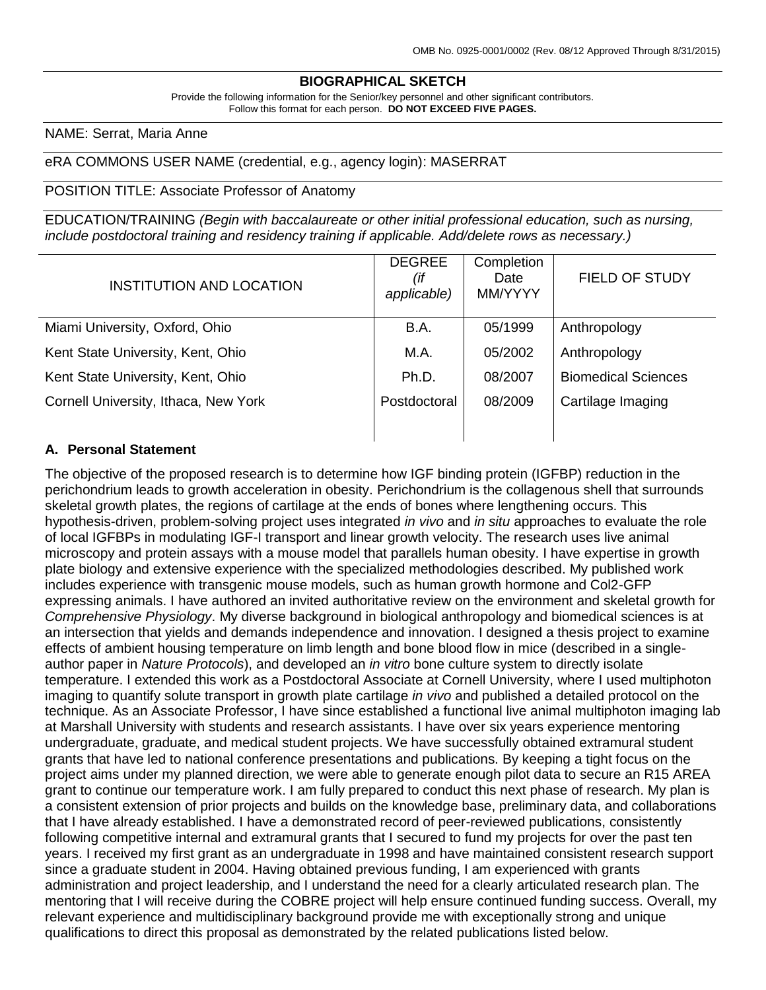### **BIOGRAPHICAL SKETCH**

Provide the following information for the Senior/key personnel and other significant contributors. Follow this format for each person. **DO NOT EXCEED FIVE PAGES.**

#### NAME: Serrat, Maria Anne

#### eRA COMMONS USER NAME (credential, e.g., agency login): MASERRAT

#### POSITION TITLE: Associate Professor of Anatomy

EDUCATION/TRAINING *(Begin with baccalaureate or other initial professional education, such as nursing, include postdoctoral training and residency training if applicable. Add/delete rows as necessary.)*

| <b>INSTITUTION AND LOCATION</b>      | <b>DEGREE</b><br>(if<br>applicable) | Completion<br>Date<br>MM/YYYY | <b>FIELD OF STUDY</b>      |
|--------------------------------------|-------------------------------------|-------------------------------|----------------------------|
| Miami University, Oxford, Ohio       | B.A.                                | 05/1999                       | Anthropology               |
| Kent State University, Kent, Ohio    | M.A.                                | 05/2002                       | Anthropology               |
| Kent State University, Kent, Ohio    | Ph.D.                               | 08/2007                       | <b>Biomedical Sciences</b> |
| Cornell University, Ithaca, New York | Postdoctoral                        | 08/2009                       | Cartilage Imaging          |
|                                      |                                     |                               |                            |

#### **A. Personal Statement**

The objective of the proposed research is to determine how IGF binding protein (IGFBP) reduction in the perichondrium leads to growth acceleration in obesity. Perichondrium is the collagenous shell that surrounds skeletal growth plates, the regions of cartilage at the ends of bones where lengthening occurs. This hypothesis-driven, problem-solving project uses integrated *in vivo* and *in situ* approaches to evaluate the role of local IGFBPs in modulating IGF-I transport and linear growth velocity. The research uses live animal microscopy and protein assays with a mouse model that parallels human obesity. I have expertise in growth plate biology and extensive experience with the specialized methodologies described. My published work includes experience with transgenic mouse models, such as human growth hormone and Col2-GFP expressing animals. I have authored an invited authoritative review on the environment and skeletal growth for *Comprehensive Physiology*. My diverse background in biological anthropology and biomedical sciences is at an intersection that yields and demands independence and innovation. I designed a thesis project to examine effects of ambient housing temperature on limb length and bone blood flow in mice (described in a singleauthor paper in *Nature Protocols*), and developed an *in vitro* bone culture system to directly isolate temperature. I extended this work as a Postdoctoral Associate at Cornell University, where I used multiphoton imaging to quantify solute transport in growth plate cartilage *in vivo* and published a detailed protocol on the technique. As an Associate Professor, I have since established a functional live animal multiphoton imaging lab at Marshall University with students and research assistants. I have over six years experience mentoring undergraduate, graduate, and medical student projects. We have successfully obtained extramural student grants that have led to national conference presentations and publications. By keeping a tight focus on the project aims under my planned direction, we were able to generate enough pilot data to secure an R15 AREA grant to continue our temperature work. I am fully prepared to conduct this next phase of research. My plan is a consistent extension of prior projects and builds on the knowledge base, preliminary data, and collaborations that I have already established. I have a demonstrated record of peer-reviewed publications, consistently following competitive internal and extramural grants that I secured to fund my projects for over the past ten years. I received my first grant as an undergraduate in 1998 and have maintained consistent research support since a graduate student in 2004. Having obtained previous funding, I am experienced with grants administration and project leadership, and I understand the need for a clearly articulated research plan. The mentoring that I will receive during the COBRE project will help ensure continued funding success. Overall, my relevant experience and multidisciplinary background provide me with exceptionally strong and unique qualifications to direct this proposal as demonstrated by the related publications listed below.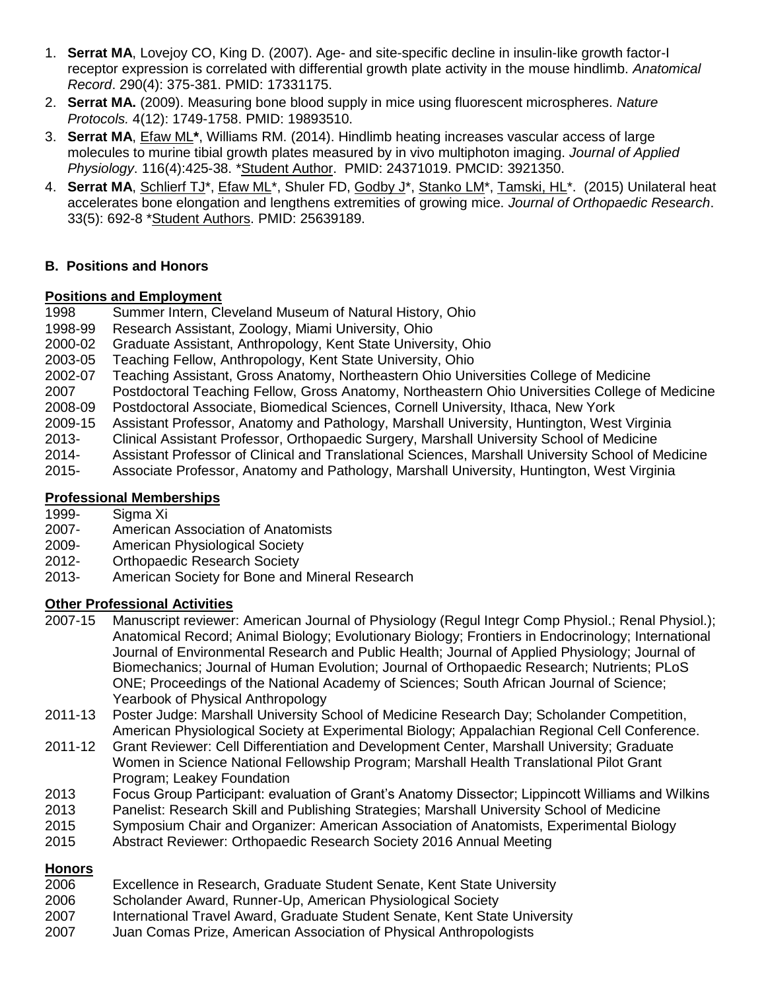- 1. **Serrat MA**, Lovejoy CO, King D. (2007). Age- and site-specific decline in insulin-like growth factor-I receptor expression is correlated with differential growth plate activity in the mouse hindlimb. *Anatomical Record*. 290(4): 375-381. PMID: 17331175.
- 2. **Serrat MA.** (2009). Measuring bone blood supply in mice using fluorescent microspheres. *Nature Protocols.* 4(12): 1749-1758. PMID: 19893510.
- 3. **Serrat MA**, Efaw ML**\***, Williams RM. (2014). Hindlimb heating increases vascular access of large molecules to murine tibial growth plates measured by in vivo multiphoton imaging. *Journal of Applied Physiology*. 116(4):425-38. \*Student Author. PMID: 24371019. PMCID: 3921350.
- 4. **Serrat MA**, Schlierf TJ\*, Efaw ML\*, Shuler FD, Godby J\*, Stanko LM\*, Tamski, HL\*. (2015) Unilateral heat accelerates bone elongation and lengthens extremities of growing mice. *Journal of Orthopaedic Research*. 33(5): 692-8 \*Student Authors. PMID: 25639189.

## **B. Positions and Honors**

## **Positions and Employment**

1998 Summer Intern, Cleveland Museum of Natural History, Ohio

- 1998-99 Research Assistant, Zoology, Miami University, Ohio
- 2000-02 Graduate Assistant, Anthropology, Kent State University, Ohio
- 2003-05 Teaching Fellow, Anthropology, Kent State University, Ohio
- 2002-07 Teaching Assistant, Gross Anatomy, Northeastern Ohio Universities College of Medicine
- 2007 Postdoctoral Teaching Fellow, Gross Anatomy, Northeastern Ohio Universities College of Medicine
- 2008-09 Postdoctoral Associate, Biomedical Sciences, Cornell University, Ithaca, New York
- 2009-15 Assistant Professor, Anatomy and Pathology, Marshall University, Huntington, West Virginia
- 2013- Clinical Assistant Professor, Orthopaedic Surgery, Marshall University School of Medicine
- Assistant Professor of Clinical and Translational Sciences, Marshall University School of Medicine
- 2015- Associate Professor, Anatomy and Pathology, Marshall University, Huntington, West Virginia

# **Professional Memberships**

1999- Sigma Xi

- 2007- American Association of Anatomists
- 2009- American Physiological Society
- 2012- Orthopaedic Research Society
- 2013- American Society for Bone and Mineral Research

## **Other Professional Activities**

- 2007-15 Manuscript reviewer: American Journal of Physiology (Regul Integr Comp Physiol.; Renal Physiol.); Anatomical Record; Animal Biology; Evolutionary Biology; Frontiers in Endocrinology; International Journal of Environmental Research and Public Health; Journal of Applied Physiology; Journal of Biomechanics; Journal of Human Evolution; Journal of Orthopaedic Research; Nutrients; PLoS ONE; Proceedings of the National Academy of Sciences; South African Journal of Science; Yearbook of Physical Anthropology
- 2011-13 Poster Judge: Marshall University School of Medicine Research Day; Scholander Competition, American Physiological Society at Experimental Biology; Appalachian Regional Cell Conference.
- 2011-12 Grant Reviewer: Cell Differentiation and Development Center, Marshall University; Graduate Women in Science National Fellowship Program; Marshall Health Translational Pilot Grant Program; Leakey Foundation
- 2013 Focus Group Participant: evaluation of Grant's Anatomy Dissector; Lippincott Williams and Wilkins
- 2013 Panelist: Research Skill and Publishing Strategies; Marshall University School of Medicine
- 2015 Symposium Chair and Organizer: American Association of Anatomists, Experimental Biology
- 2015 Abstract Reviewer: Orthopaedic Research Society 2016 Annual Meeting

## **Honors**

- 2006 Excellence in Research, Graduate Student Senate, Kent State University
- 2006 Scholander Award, Runner-Up, American Physiological Society
- 2007 International Travel Award, Graduate Student Senate, Kent State University
- 2007 Juan Comas Prize, American Association of Physical Anthropologists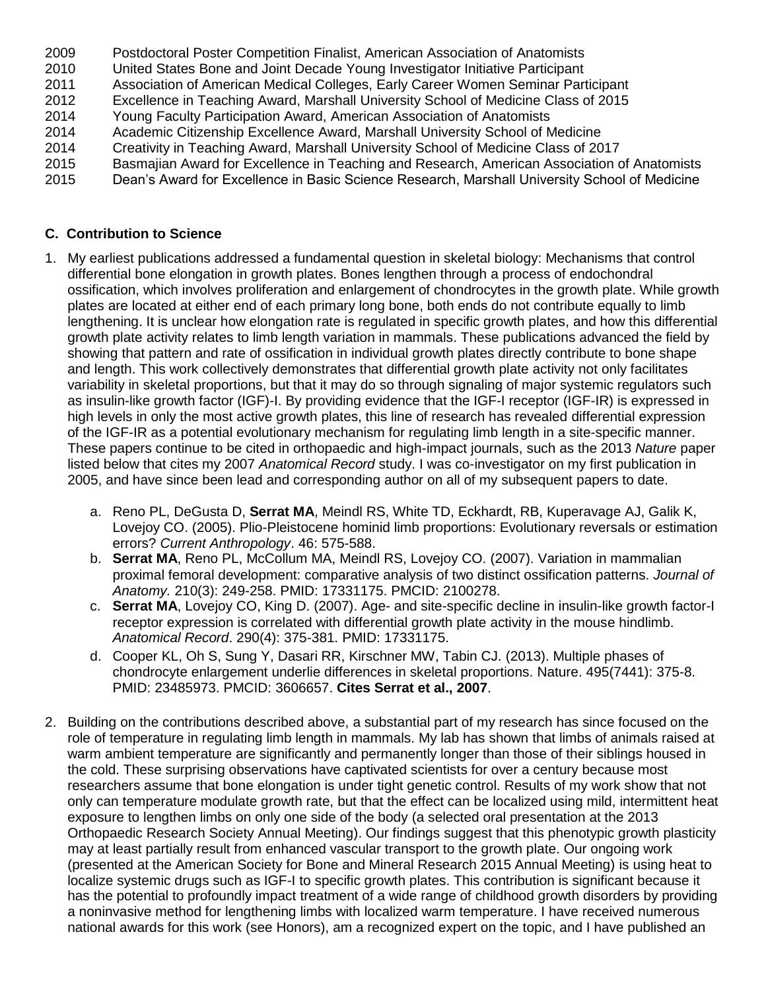- 2009 Postdoctoral Poster Competition Finalist, American Association of Anatomists
- 2010 United States Bone and Joint Decade Young Investigator Initiative Participant
- 2011 Association of American Medical Colleges, Early Career Women Seminar Participant
- 2012 Excellence in Teaching Award, Marshall University School of Medicine Class of 2015
- 2014 Young Faculty Participation Award, American Association of Anatomists
- 2014 Academic Citizenship Excellence Award, Marshall University School of Medicine
- 2014 Creativity in Teaching Award, Marshall University School of Medicine Class of 2017
- 2015 Basmajian Award for Excellence in Teaching and Research, American Association of Anatomists
- 2015 Dean's Award for Excellence in Basic Science Research, Marshall University School of Medicine

## **C. Contribution to Science**

- 1. My earliest publications addressed a fundamental question in skeletal biology: Mechanisms that control differential bone elongation in growth plates. Bones lengthen through a process of endochondral ossification, which involves proliferation and enlargement of chondrocytes in the growth plate. While growth plates are located at either end of each primary long bone, both ends do not contribute equally to limb lengthening. It is unclear how elongation rate is regulated in specific growth plates, and how this differential growth plate activity relates to limb length variation in mammals. These publications advanced the field by showing that pattern and rate of ossification in individual growth plates directly contribute to bone shape and length. This work collectively demonstrates that differential growth plate activity not only facilitates variability in skeletal proportions, but that it may do so through signaling of major systemic regulators such as insulin-like growth factor (IGF)-I. By providing evidence that the IGF-I receptor (IGF-IR) is expressed in high levels in only the most active growth plates, this line of research has revealed differential expression of the IGF-IR as a potential evolutionary mechanism for regulating limb length in a site-specific manner. These papers continue to be cited in orthopaedic and high-impact journals, such as the 2013 *Nature* paper listed below that cites my 2007 *Anatomical Record* study. I was co-investigator on my first publication in 2005, and have since been lead and corresponding author on all of my subsequent papers to date.
	- a. Reno PL, DeGusta D, **Serrat MA**, Meindl RS, White TD, Eckhardt, RB, Kuperavage AJ, Galik K, Lovejoy CO. (2005). Plio-Pleistocene hominid limb proportions: Evolutionary reversals or estimation errors? *Current Anthropology*. 46: 575-588.
	- b. **Serrat MA**, Reno PL, McCollum MA, Meindl RS, Lovejoy CO. (2007). Variation in mammalian proximal femoral development: comparative analysis of two distinct ossification patterns. *Journal of Anatomy.* 210(3): 249-258. PMID: 17331175. PMCID: 2100278.
	- c. **Serrat MA**, Lovejoy CO, King D. (2007). Age- and site-specific decline in insulin-like growth factor-I receptor expression is correlated with differential growth plate activity in the mouse hindlimb. *Anatomical Record*. 290(4): 375-381. PMID: 17331175.
	- d. Cooper KL, Oh S, Sung Y, Dasari RR, Kirschner MW, Tabin CJ. (2013). Multiple phases of chondrocyte enlargement underlie differences in skeletal proportions. Nature. 495(7441): 375-8. PMID: 23485973. PMCID: 3606657. **Cites Serrat et al., 2007**.
- 2. Building on the contributions described above, a substantial part of my research has since focused on the role of temperature in regulating limb length in mammals. My lab has shown that limbs of animals raised at warm ambient temperature are significantly and permanently longer than those of their siblings housed in the cold. These surprising observations have captivated scientists for over a century because most researchers assume that bone elongation is under tight genetic control. Results of my work show that not only can temperature modulate growth rate, but that the effect can be localized using mild, intermittent heat exposure to lengthen limbs on only one side of the body (a selected oral presentation at the 2013 Orthopaedic Research Society Annual Meeting). Our findings suggest that this phenotypic growth plasticity may at least partially result from enhanced vascular transport to the growth plate. Our ongoing work (presented at the American Society for Bone and Mineral Research 2015 Annual Meeting) is using heat to localize systemic drugs such as IGF-I to specific growth plates. This contribution is significant because it has the potential to profoundly impact treatment of a wide range of childhood growth disorders by providing a noninvasive method for lengthening limbs with localized warm temperature. I have received numerous national awards for this work (see Honors), am a recognized expert on the topic, and I have published an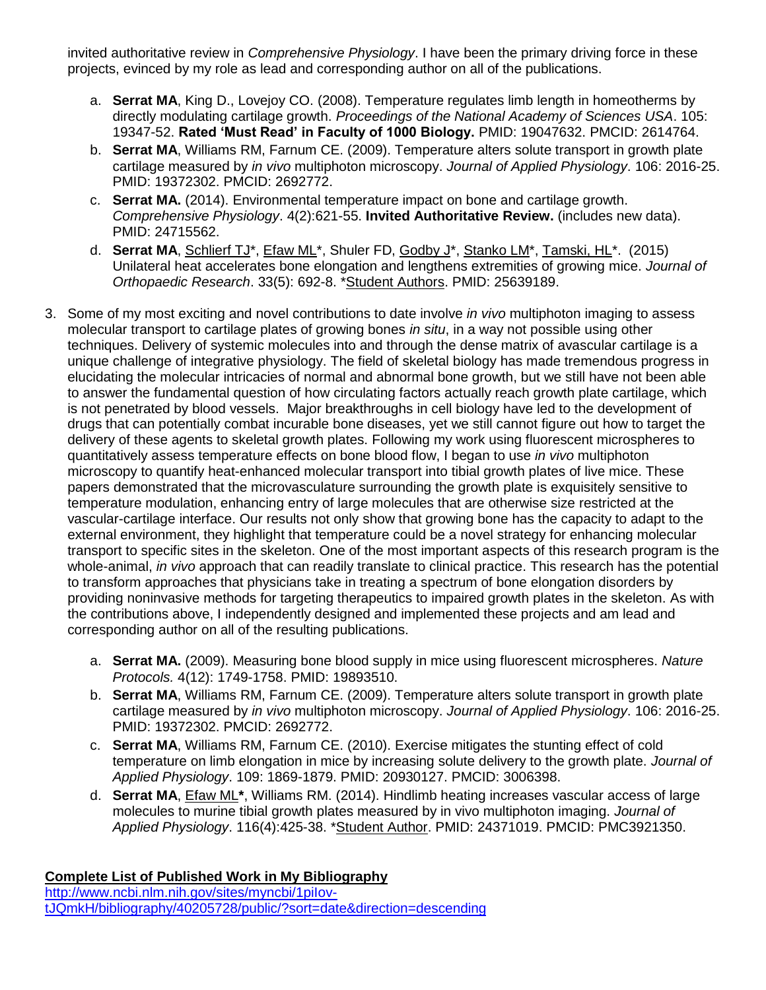invited authoritative review in *Comprehensive Physiology*. I have been the primary driving force in these projects, evinced by my role as lead and corresponding author on all of the publications.

- a. **Serrat MA**, King D., Lovejoy CO. (2008). Temperature regulates limb length in homeotherms by directly modulating cartilage growth. *Proceedings of the National Academy of Sciences USA*. 105: 19347-52. **Rated 'Must Read' in Faculty of 1000 Biology.** PMID: 19047632. PMCID: 2614764.
- b. **Serrat MA**, Williams RM, Farnum CE. (2009). Temperature alters solute transport in growth plate cartilage measured by *in vivo* multiphoton microscopy. *Journal of Applied Physiology*. 106: 2016-25. PMID: 19372302. PMCID: 2692772.
- c. **Serrat MA.** (2014). Environmental temperature impact on bone and cartilage growth. *Comprehensive Physiology*. 4(2):621-55. **Invited Authoritative Review.** (includes new data). PMID: 24715562.
- d. **Serrat MA**, Schlierf TJ\*, Efaw ML\*, Shuler FD, Godby J\*, Stanko LM\*, Tamski, HL\*. (2015) Unilateral heat accelerates bone elongation and lengthens extremities of growing mice. *Journal of Orthopaedic Research*. 33(5): 692-8. \*Student Authors. PMID: 25639189.
- 3. Some of my most exciting and novel contributions to date involve *in vivo* multiphoton imaging to assess molecular transport to cartilage plates of growing bones *in situ*, in a way not possible using other techniques. Delivery of systemic molecules into and through the dense matrix of avascular cartilage is a unique challenge of integrative physiology. The field of skeletal biology has made tremendous progress in elucidating the molecular intricacies of normal and abnormal bone growth, but we still have not been able to answer the fundamental question of how circulating factors actually reach growth plate cartilage, which is not penetrated by blood vessels. Major breakthroughs in cell biology have led to the development of drugs that can potentially combat incurable bone diseases, yet we still cannot figure out how to target the delivery of these agents to skeletal growth plates. Following my work using fluorescent microspheres to quantitatively assess temperature effects on bone blood flow, I began to use *in vivo* multiphoton microscopy to quantify heat-enhanced molecular transport into tibial growth plates of live mice. These papers demonstrated that the microvasculature surrounding the growth plate is exquisitely sensitive to temperature modulation, enhancing entry of large molecules that are otherwise size restricted at the vascular-cartilage interface. Our results not only show that growing bone has the capacity to adapt to the external environment, they highlight that temperature could be a novel strategy for enhancing molecular transport to specific sites in the skeleton. One of the most important aspects of this research program is the whole-animal, *in vivo* approach that can readily translate to clinical practice. This research has the potential to transform approaches that physicians take in treating a spectrum of bone elongation disorders by providing noninvasive methods for targeting therapeutics to impaired growth plates in the skeleton. As with the contributions above, I independently designed and implemented these projects and am lead and corresponding author on all of the resulting publications.
	- a. **Serrat MA.** (2009). Measuring bone blood supply in mice using fluorescent microspheres. *Nature Protocols.* 4(12): 1749-1758. PMID: 19893510.
	- b. **Serrat MA**, Williams RM, Farnum CE. (2009). Temperature alters solute transport in growth plate cartilage measured by *in vivo* multiphoton microscopy. *Journal of Applied Physiology*. 106: 2016-25. PMID: 19372302. PMCID: 2692772.
	- c. **Serrat MA**, Williams RM, Farnum CE. (2010). Exercise mitigates the stunting effect of cold temperature on limb elongation in mice by increasing solute delivery to the growth plate. *Journal of Applied Physiology*. 109: 1869-1879. PMID: 20930127. PMCID: 3006398.
	- d. **Serrat MA**, Efaw ML**\***, Williams RM. (2014). Hindlimb heating increases vascular access of large molecules to murine tibial growth plates measured by in vivo multiphoton imaging. *Journal of Applied Physiology*. 116(4):425-38. \*Student Author. PMID: 24371019. PMCID: PMC3921350.

#### **Complete List of Published Work in My Bibliography** [http://www.ncbi.nlm.nih.gov/sites/myncbi/1piIov](http://www.ncbi.nlm.nih.gov/sites/myncbi/1piIov-tJQmkH/bibliography/40205728/public/?sort=date&direction=descending)[tJQmkH/bibliography/40205728/public/?sort=date&direction=descending](http://www.ncbi.nlm.nih.gov/sites/myncbi/1piIov-tJQmkH/bibliography/40205728/public/?sort=date&direction=descending)